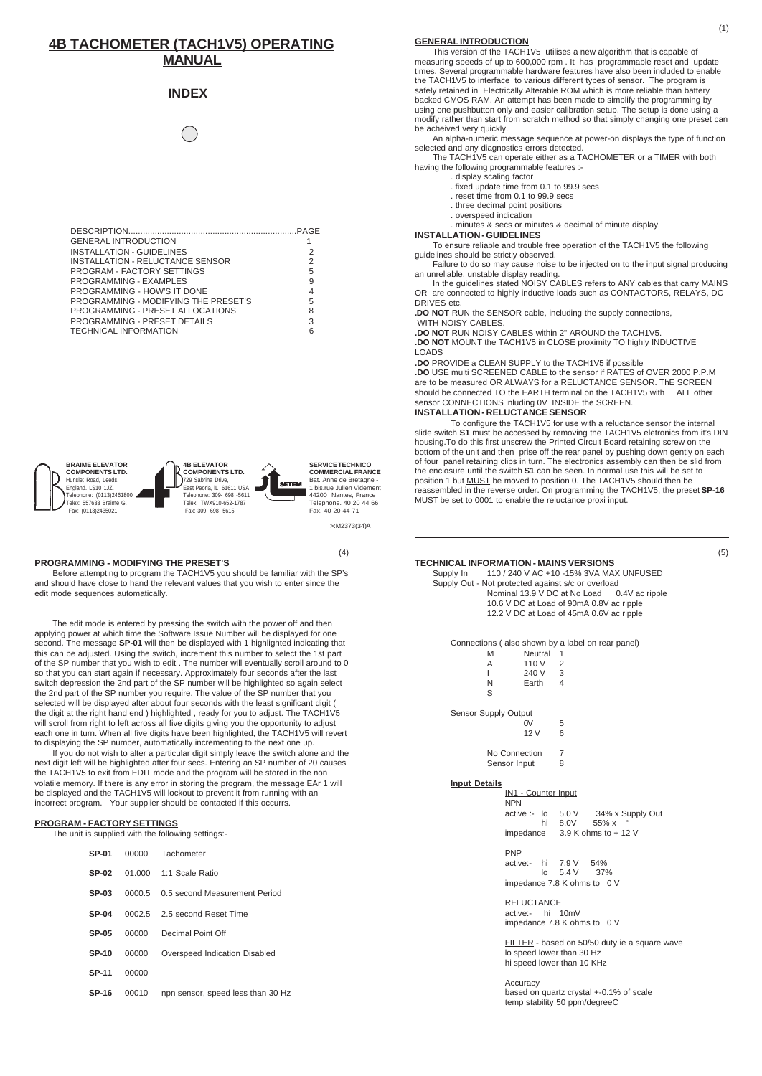# **4B TACHOMETER (TACH1V5) OPERATING MANUAL**

## **INDEX**

| <b>GENERAL INTRODUCTION</b>          |   |
|--------------------------------------|---|
| <b>INSTALLATION - GUIDELINES</b>     | 2 |
| INSTALLATION - RELUCTANCE SENSOR     | 2 |
| PROGRAM - FACTORY SETTINGS           | 5 |
| PROGRAMMING - EXAMPLES               | 9 |
| PROGRAMMING - HOW'S IT DONE          | 4 |
| PROGRAMMING - MODIFYING THE PRESET'S | 5 |
| PROGRAMMING - PRESET ALLOCATIONS     | 8 |
| PROGRAMMING - PRESET DETAILS         | 3 |
| <b>TECHNICAL INFORMATION</b>         |   |

**COMPONENTS LTD.** Hunslet Road, Leeds, England. LS10 1JZ. Telephone: (0113)2461800 Telex: 557633 Braime G. Fax: (0113)2435021

**BRAIME ELEVATOR**



**SERVICE TECHNICO COMMERCIAL FRANCE** Bat. Anne de Bretagne - 1 bis.rue Julien Videment 44200 Nantes, France Telephone. 40 20 44 66 Fax. 40 20 44 71

 $\sim$ :M2373(34)A

### **PROGRAMMING - MODIFYING THE PRESET'S**

Before attempting to program the TACH1V5 you should be familiar with the SP's and should have close to hand the relevant values that you wish to enter since the edit mode sequences automatically.

The edit mode is entered by pressing the switch with the power off and then applying power at which time the Software Issue Number will be displayed for one second. The message **SP-01** will then be displayed with 1 highlighted indicating that this can be adjusted. Using the switch, increment this number to select the 1st part of the SP number that you wish to edit . The number will eventually scroll around to 0 so that you can start again if necessary. Approximately four seconds after the last switch depression the 2nd part of the SP number will be highlighted so again select the 2nd part of the SP number you require. The value of the SP number that you selected will be displayed after about four seconds with the least significant digit ( the digit at the right hand end ) highlighted , ready for you to adjust. The TACH1V5 will scroll from right to left across all five digits giving you the opportunity to adjust each one in turn. When all five digits have been highlighted, the TACH1V5 will revert to displaying the SP number, automatically incrementing to the next one up.

If you do not wish to alter a particular digit simply leave the switch alone and the next digit left will be highlighted after four secs. Entering an SP number of 20 causes the TACH1V5 to exit from EDIT mode and the program will be stored in the non volatile memory. If there is any error in storing the program, the message EAr 1 will be displayed and the TACH1V5 will lockout to prevent it from running with an incorrect program. Your supplier should be contacted if this occurrs.

#### **PROGRAM - FACTORY SETTINGS**

The unit is supplied with the following settings:-

| <b>SP-01</b> |       | 00000 Tachometer                     |
|--------------|-------|--------------------------------------|
| SP-02        |       | 01.000 1:1 Scale Ratio               |
| $SP-03$      |       | 0000.5 0.5 second Measurement Period |
| $SP-04$      |       | 0002.5 2.5 second Reset Time         |
| <b>SP-05</b> | 00000 | Decimal Point Off                    |
| <b>SP-10</b> | 00000 | Overspeed Indication Disabled        |
| <b>SP-11</b> | 00000 |                                      |
| SP-16        | 00010 | npn sensor, speed less than 30 Hz    |

#### **GENERAL INTRODUCTION**

This version of the TACH1V5 utilises a new algorithm that is capable of measuring speeds of up to 600,000 rpm . It has programmable reset and update times. Several programmable hardware features have also been included to enable the TACH1V5 to interface to various different types of sensor. The program is safely retained in Electrically Alterable ROM which is more reliable than battery backed CMOS RAM. An attempt has been made to simplify the programming by using one pushbutton only and easier calibration setup. The setup is done using a modify rather than start from scratch method so that simply changing one preset can be acheived very quickly.

An alpha-numeric message sequence at power-on displays the type of function selected and any diagnostics errors detected.

The TACH1V5 can operate either as a TACHOMETER or a TIMER with both having the following programmable features :-

- 
- . display scaling factor . fixed update time from 0.1 to 99.9 secs
- reset time from 0.1 to 99.9 secs . three decimal point positions
- . overspeed indication
- . minutes & secs or minutes & decimal of minute display

#### **INSTALLATION - GUIDELINES**

To ensure reliable and trouble free operation of the TACH1V5 the following guidelines should be strictly observed.

Failure to do so may cause noise to be injected on to the input signal producing an unreliable, unstable display reading. In the guidelines stated NOISY CABLES refers to ANY cables that carry MAINS

OR are connected to highly inductive loads such as CONTACTORS, RELAYS, DC DRIVES etc.

**.DO NOT** RUN the SENSOR cable, including the supply connections,

WITH NOISY CABLES. **.DO NOT** RUN NOISY CABLES within 2" AROUND the TACH1V5. **.DO NOT** MOUNT the TACH1V5 in CLOSE proximity TO highly INDUCTIVE

LOADS

**.DO** PROVIDE a CLEAN SUPPLY to the TACH1V5 if possible

**.DO** USE multi SCREENED CABLE to the sensor if RATES of OVER 2000 P.P.M are to be measured OR ALWAYS for a RELUCTANCE SENSOR. ThE SCREEN should be connected TO the EARTH terminal on the TACH1V5 with ALL other sensor CONNECTIONS inluding 0V INSIDE the SCREEN.

## **INSTALLATION - RELUCTANCE SENSOR**

To configure the TACH1V5 for use with a reluctance sensor the internal slide switch **S1** must be accessed by removing the TACH1V5 eletronics from it's DIN housing.To do this first unscrew the Printed Circuit Board retaining screw on the bottom of the unit and then prise off the rear panel by pushing down gently on each of four panel retaining clips in turn. The electronics assembly can then be slid from the enclosure until the switch **S1** can be seen. In normal use this will be set to position 1 but <u>MUST</u> be moved to position 0. The TACH1V5 should then be reassembled in the reverse order. On programming the TACH1V5, the preset **SP-16** MUST be set to 0001 to enable the reluctance proxi input.

## **TECHNICAL INFORMATION - MAINS VERSIONS**<br>Supply In 110 / 240 V AC +10 -15% 3VA MAI  $(4)$  (5)

110 / 240 V AC +10 -15% 3VA MAX UNFUSED Supply Out - Not protected against s/c or overload Nominal 13.9 V DC at No Load 0.4V ac ripple 10.6 V DC at Load of 90mA 0.8V ac ripple 12.2 V DC at Load of 45mA 0.6V ac ripple

> Connections ( also shown by a label on rear panel) **Neutral**

|                             | Α<br>L<br>N<br>S | 110 V<br>240 V 3<br>Earth 4                                                                                | 2                   |     |  |  |
|-----------------------------|------------------|------------------------------------------------------------------------------------------------------------|---------------------|-----|--|--|
| <b>Sensor Supply Output</b> |                  | 0V                                                                                                         | 5                   |     |  |  |
|                             |                  | 12 V                                                                                                       | 6                   |     |  |  |
|                             |                  | No Connection<br>Sensor Input                                                                              | $\overline{7}$<br>8 |     |  |  |
| <b>Input Details</b>        |                  | IN1 - Counter Input<br><b>NPN</b><br>active :- lo 5.0 V 34% x Supply Out<br>impedance 3.9 K ohms to + 12 V | hi 8.0V 55% x       |     |  |  |
|                             |                  | PNP<br>active:- hi 7.9 V 54%<br>impedance 7.8 K ohms to 0 V                                                | $\ln 5.4$ V         | 37% |  |  |
|                             |                  | <b>RELUCTANCE</b><br>active:- hi 10mV<br>impedance 7.8 K ohms to 0 V                                       |                     |     |  |  |
|                             |                  | FILTER - based on 50/50 duty ie a square                                                                   |                     |     |  |  |

duty ie a square wave lo speed lower than 30 Hz hi speed lower than 10 KHz

**Accuracy** based on quartz crystal +-0.1% of scale temp stability 50 ppm/degreeC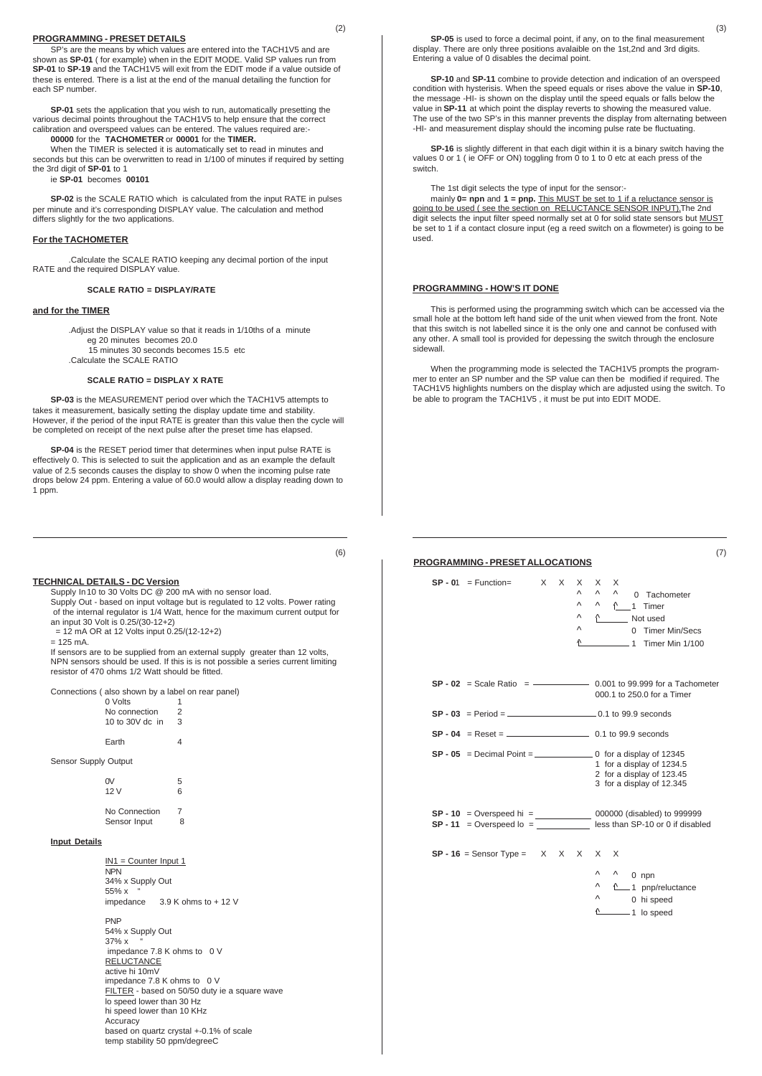#### **PROGRAMMING - PRESET DETAILS**

SP's are the means by which values are entered into the TACH1V5 and are shown as **SP-01** ( for example) when in the EDIT MODE. Valid SP values run from **SP-01** to **SP-19** and the TACH1V5 will exit from the EDIT mode if a value outside of these is entered. There is a list at the end of the manual detailing the function for each SP number.

**SP-01** sets the application that you wish to run, automatically presetting the various decimal points throughout the TACH1V5 to help ensure that the correct calibration and overspeed values can be entered. The values required are:- **00000** for the **TACHOMETER** or **00001** for the **TIMER.**

When the TIMER is selected it is automatically set to read in minutes and

seconds but this can be overwritten to read in 1/100 of minutes if required by setting the 3rd digit of **SP-01** to 1 ie **SP-01** becomes **00101**

**SP-02** is the SCALE RATIO which is calculated from the input RATE in pulses per minute and it's corresponding DISPLAY value. The calculation and method differs slightly for the two applications.

### **For the TACHOMETER**

.Calculate the SCALE RATIO keeping any decimal portion of the input RATE and the required DISPLAY value.

### **SCALE RATIO = DISPLAY/RATE**

#### **and for the TIMER**

.Adjust the DISPLAY value so that it reads in 1/10ths of a minute eg 20 minutes becomes 20.0 15 minutes 30 seconds becomes 15.5 etc

.Calculate the SCALE RATIO

#### **SCALE RATIO = DISPLAY X RATE**

**SP-03** is the MEASUREMENT period over which the TACH1V5 attempts to takes it measurement, basically setting the display update time and stability. However, if the period of the input RATE is greater than this value then the cycle will be completed on receipt of the next pulse after the preset time has elapsed.

**SP-04** is the RESET period timer that determines when input pulse RATE is effectively 0. This is selected to suit the application and as an example the default value of 2.5 seconds causes the display to show 0 when the incoming pulse rate drops below 24 ppm. Entering a value of 60.0 would allow a display reading down to 1 ppm.

**TECHNICAL DETAILS - DC Version**

Supply In 10 to 30 Volts DC @ 200 mA with no sensor load. Supply Out - based on input voltage but is regulated to 12 volts. Power rating of the internal regulator is 1/4 Watt, hence for the maximum current output for an input 30 Volt is 0.25/(30-12+2)

 $= 12$  mA OR at 12 Volts input  $0.25/(12-12+2)$ 

 $= 125$  mA.

If sensors are to be supplied from an external supply greater than 12 volts, NPN sensors should be used. If this is is not possible a series current limiting resistor of 470 ohms 1/2 Watt should be fitted.

Connections ( also shown by a label on rear panel)

| 0 Volts         |   |
|-----------------|---|
| No connection   | 2 |
| 10 to 30V dc in | 3 |
| Earth           |   |

Sensor Supply Output

| W                             | 5 |
|-------------------------------|---|
| 12 V                          | 6 |
| No Connection<br>Sensor Input | 8 |

#### **Input Details**

IN1 = Counter Input 1 NPN 34% x Supply Out 55% x impedance 3.9 K ohms to + 12 V PNP 54% x Supply Out  $37\% x$  impedance 7.8 K ohms to 0 V **RELUCTANCE** active hi 10mV impedance 7.8 K ohms to 0 V FILTER - based on 50/50 duty ie a square wave lo speed lower than 30 Hz hi speed lower than 10 KHz Accuracy based on quartz crystal +-0.1% of scale temp stability 50 ppm/degreeC

**SP-05** is used to force a decimal point, if any, on to the final measurement display. There are only three positions avalaible on the 1st,2nd and 3rd digits. Entering a value of 0 disables the decimal point.

**SP-10** and **SP-11** combine to provide detection and indication of an overspeed condition with hysterisis. When the speed equals or rises above the value in **SP-10**, the message -HI- is shown on the display until the speed equals or falls below the value in **SP-11** at which point the display reverts to showing the measured value. The use of the two SP's in this manner prevents the display from alternating between -HI- and measurement display should the incoming pulse rate be fluctuating.

**SP-16** is slightly different in that each digit within it is a binary switch having the values 0 or 1 ( ie OFF or ON) toggling from 0 to 1 to 0 etc at each press of the switch.

The 1st digit selects the type of input for the sensor:-<br>mainly **0= npn** and **1 = pnp.** This MUST be set to 1 if a reluctance sensor is<br>going to be used ( see the section on RELUCTANCE SENSOR INPUT).The 2nd digit selects the input filter speed normally set at 0 for solid state sensors but MUST be set to 1 if a contact closure input (eg a reed switch on a flowmeter) is going to be used.

#### **PROGRAMMING - HOW'S IT DONE**

This is performed using the programming switch which can be accessed via the small hole at the bottom left hand side of the unit when viewed from the front. Note that this switch is not labelled since it is the only one and cannot be confused with any other. A small tool is provided for depessing the switch through the enclosure sidewall.

When the programming mode is selected the TACH1V5 prompts the programmer to enter an SP number and the SP value can then be modified if required. The TACH1V5 highlights numbers on the display which are adjusted using the switch. To be able to program the TACH1V5 , it must be put into EDIT MODE.

## **PROGRAMMING - PRESET ALLOCATIONS**

| $SP - 01 = Function =$<br>$\times$ $\times$<br>X<br>Λ<br>Λ<br>Λ<br>Λ<br>Λ    | X<br>X<br>Λ<br>$\wedge$<br>0 Tachometer<br>$\wedge$ $\wedge$ 1 Timer<br>↑ Not used<br>0 Timer Min/Secs<br>1 Timer Min 1/100 |
|------------------------------------------------------------------------------|-----------------------------------------------------------------------------------------------------------------------------|
| $SP - 02$ = Scale Ratio = $\frac{1}{100}$ = 0.001 to 99.999 for a Tachometer | 000.1 to 250.0 for a Timer                                                                                                  |
|                                                                              |                                                                                                                             |
|                                                                              |                                                                                                                             |
|                                                                              | 1 for a display of 1234.5<br>2 for a display of 123.45<br>3 for a display of 12.345                                         |
|                                                                              | less than SP-10 or 0 if disabled                                                                                            |
| $SP - 16 =$ Sensor Type = $X \times X \times X$                              | $\times$<br>Λ<br>$^{\wedge}$ 0 npn<br>Λ<br>4 1 pnp/reluctance<br>Λ<br>0 hi speed<br>$\sqrt{2}$ 1 lo speed                   |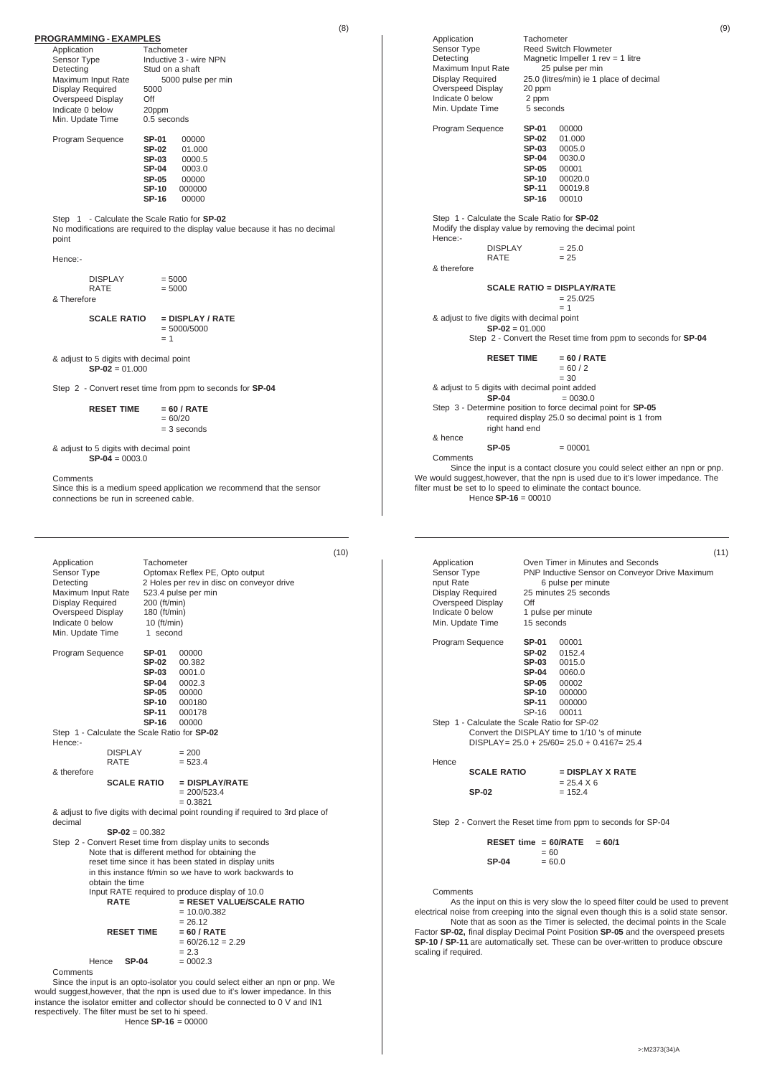| (8)                                                                                                                                                                                                                                                                                                                             | (9)                                                                                                                                                                                                                                                                                                                                                    |
|---------------------------------------------------------------------------------------------------------------------------------------------------------------------------------------------------------------------------------------------------------------------------------------------------------------------------------|--------------------------------------------------------------------------------------------------------------------------------------------------------------------------------------------------------------------------------------------------------------------------------------------------------------------------------------------------------|
| <b>PROGRAMMING - EXAMPLES</b><br>Application<br>Tachometer<br>Sensor Type<br>Inductive 3 - wire NPN<br>Detecting<br>Stud on a shaft<br>Maximum Input Rate<br>5000 pulse per min<br>Display Required<br>5000<br>Off<br>Overspeed Display                                                                                         | Application<br>Tachometer<br>Sensor Type<br><b>Reed Switch Flowmeter</b><br>Detecting<br>Magnetic Impeller 1 rev = 1 litre<br>Maximum Input Rate<br>25 pulse per min<br>25.0 (litres/min) ie 1 place of decimal<br>Display Required<br>Overspeed Display<br>20 ppm<br>Indicate 0 below<br>2 ppm                                                        |
| Indicate 0 below<br>20ppm<br>0.5 seconds<br>Min. Update Time                                                                                                                                                                                                                                                                    | Min. Update Time<br>5 seconds                                                                                                                                                                                                                                                                                                                          |
| <b>SP-01</b><br>Program Sequence<br>00000<br><b>SP-02</b><br>01.000<br>SP-03<br>0000.5<br><b>SP-04</b><br>0003.0<br><b>SP-05</b><br>00000<br>SP-10<br>000000<br><b>SP-16</b><br>00000                                                                                                                                           | SP-01<br>Program Sequence<br>00000<br><b>SP-02</b><br>01.000<br><b>SP-03</b><br>0005.0<br><b>SP-04</b><br>0030.0<br><b>SP-05</b><br>00001<br><b>SP-10</b><br>00020.0<br><b>SP-11</b><br>00019.8<br><b>SP-16</b><br>00010                                                                                                                               |
| Step 1 - Calculate the Scale Ratio for SP-02<br>No modifications are required to the display value because it has no decimal<br>point                                                                                                                                                                                           | Step 1 - Calculate the Scale Ratio for SP-02<br>Modify the display value by removing the decimal point<br>Hence:-                                                                                                                                                                                                                                      |
| Hence:-                                                                                                                                                                                                                                                                                                                         | <b>DISPLAY</b><br>$= 25.0$<br><b>RATE</b><br>$= 25$<br>& therefore                                                                                                                                                                                                                                                                                     |
| <b>DISPLAY</b><br>$= 5000$<br>$= 5000$<br><b>RATE</b><br>& Therefore                                                                                                                                                                                                                                                            | <b>SCALE RATIO = DISPLAY/RATE</b><br>$= 25.0/25$<br>$= 1$                                                                                                                                                                                                                                                                                              |
| $=$ DISPLAY / RATE<br><b>SCALE RATIO</b><br>$= 5000/5000$<br>$= 1$                                                                                                                                                                                                                                                              | & adjust to five digits with decimal point<br>$SP-02 = 01.000$<br>Step 2 - Convert the Reset time from ppm to seconds for <b>SP-04</b>                                                                                                                                                                                                                 |
| & adjust to 5 digits with decimal point<br>$SP-02 = 01.000$                                                                                                                                                                                                                                                                     | <b>RESET TIME</b><br>$= 60 / RATE$<br>$= 60 / 2$<br>$= 30$                                                                                                                                                                                                                                                                                             |
| Step 2 - Convert reset time from ppm to seconds for SP-04                                                                                                                                                                                                                                                                       | & adjust to 5 digits with decimal point added                                                                                                                                                                                                                                                                                                          |
| <b>RESET TIME</b><br>$= 60 / RATE$<br>$= 60/20$<br>$=$ 3 seconds                                                                                                                                                                                                                                                                | <b>SP-04</b><br>$= 0030.0$<br>Step 3 - Determine position to force decimal point for SP-05<br>required display 25.0 so decimal point is 1 from<br>right hand end                                                                                                                                                                                       |
| & adjust to 5 digits with decimal point<br>$SP-04 = 0003.0$                                                                                                                                                                                                                                                                     | & hence<br><b>SP-05</b><br>$= 00001$<br>Comments<br>Since the input is a contact closure you could select either an npn or pnp.                                                                                                                                                                                                                        |
| Comments<br>Since this is a medium speed application we recommend that the sensor<br>connections be run in screened cable.                                                                                                                                                                                                      | We would suggest, however, that the npn is used due to it's lower impedance. The<br>filter must be set to lo speed to eliminate the contact bounce.<br>Hence $SP-16 = 00010$                                                                                                                                                                           |
| (10)                                                                                                                                                                                                                                                                                                                            | (11)                                                                                                                                                                                                                                                                                                                                                   |
| Application<br>Tachometer<br>Sensor Type<br>Optomax Reflex PE, Opto output<br>Detecting<br>2 Holes per rev in disc on conveyor drive<br>Maximum Input Rate<br>523.4 pulse per min<br>Display Required<br>200 (ft/min)<br>Overspeed Display<br>180 (ft/min)<br>Indicate 0 below<br>$10$ (ft/min)<br>Min. Update Time<br>1 second | Application<br>Oven Timer in Minutes and Seconds<br>Sensor Type<br>PNP Inductive Sensor on Conveyor Drive Maximum<br>nput Rate<br>6 pulse per minute<br>Display Required<br>25 minutes 25 seconds<br>Overspeed Display<br>Off<br>Indicate 0 below<br>1 pulse per minute<br>15 seconds<br>Min. Update Time<br>Program Sequence<br><b>SP-01</b><br>00001 |
| SP-01<br>00000<br>Program Sequence<br><b>SP-02</b><br>00.382<br>SP-03<br>0001.0<br><b>SP-04</b><br>0002.3<br><b>SP-05</b><br>00000<br><b>SP-10</b><br>000180<br>SP-11<br>000178<br>SP-16<br>00000                                                                                                                               | <b>SP-02</b><br>0152.4<br><b>SP-03</b><br>0015.0<br>0060.0<br><b>SP-04</b><br><b>SP-05</b><br>00002<br><b>SP-10</b><br>000000<br><b>SP-11</b><br>000000<br>SP-16<br>00011<br>Step 1 - Calculate the Scale Ratio for SP-02                                                                                                                              |
| Step 1 - Calculate the Scale Ratio for SP-02<br>Hence:-<br>$= 200$<br><b>DISPLAY</b>                                                                                                                                                                                                                                            | Convert the DISPLAY time to 1/10 's of minute<br>$DISPLAY = 25.0 + 25/60 = 25.0 + 0.4167 = 25.4$                                                                                                                                                                                                                                                       |
| $= 523.4$<br>RATE<br>& therefore<br>SCALE RATIO = DISPLAY/RATE                                                                                                                                                                                                                                                                  | Hence<br><b>SCALE RATIO</b><br>$=$ DISPLAY X RATE<br>$= 25.4 X 6$                                                                                                                                                                                                                                                                                      |

**SCALE RATIO = DISPLAY/RATE**  $= 200/523.4$ 

= 0.3821 & adjust to five digits with decimal point rounding if required to 3rd place of decimal

**SP-02** = 00.382

Step 2 - Convert Reset time from display units to seconds Note that is different method for obtaining the reset time since it has been stated in display units in this instance ft/min so we have to work backwards to obtain the time Input RATE required to produce display of 10.0<br>**RATE** = **RESET VALUE/SCALE RATIO**<br>= 10.0/0.382  $= 26.12$ <br>= 60 / RATE **RESET TIME**  $= 60/26.12 = 2.29$  $= 2.3$ <br>= 0002.3

Hence **SP-04** 

Comments

Since the input is an opto-isolator you could select either an npn or pnp. We would suggest,however, that the npn is used due to it's lower impedance. In this instance the isolator emitter and collector should be connected to 0 V and IN1 respectively. The filter must be set to hi speed. Hence **SP-16** = 00000

>:M2373(34)A

 $SP-02 = 152.4$ 

 $\text{SP-04}$  = 60.0

Comments

scaling if required.

Step 2 - Convert the Reset time from ppm to seconds for SP-04 **RESET time = 60/RATE = 60/1**

As the input on this is very slow the lo speed filter could be used to prevent electrical noise from creeping into the signal even though this is a solid state sensor. Note that as soon as the Timer is selected, the decimal points in the Scale Factor **SP-02,** final display Decimal Point Position **SP-05** and the overspeed presets **SP-10 / SP-11** are automatically set. These can be over-written to produce obscure